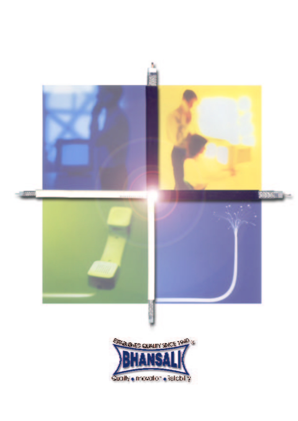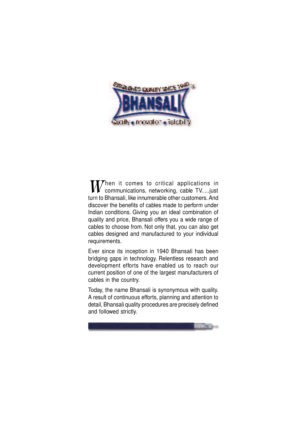

 $\nabla$ hen it comes to critical applications in communications, networking, cable TV.....just turn to Bhansali, like innumerable other customers. And discover the benefits of cables made to perform under Indian conditions. Giving you an ideal combination of quality and price, Bhansali offers you a wide range of cables to choose from. Not only that, you can also get cables designed and manufactured to your individual requirements.

Ever since its inception in 1940 Bhansali has been bridging gaps in technology. Relentless research and development efforts have enabled us to reach our current position of one of the largest manufacturers of cables in the country.

Today, the name Bhansali is synonymous with quality. A result of continuous efforts, planning and attention to detail, Bhansali quality procedures are precisely defined and followed strictly.

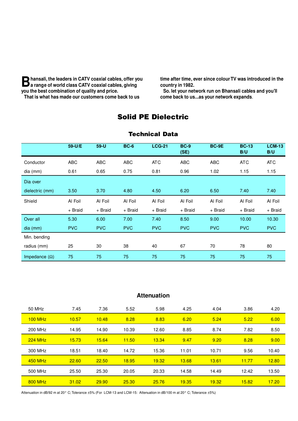**B** hansali, the leaders in CATV coaxial cables, offer you<br>**B** a range of world class CATV coaxial cables, giving **a range of world class CATV coaxial cables, giving you the best combination of quality and price. That is what has made our customers come back to us**

**time after time, ever since colour TV was introduced in the country in 1982.**

**So. let your network run on Bhansali cables and you'll come back to us...as your network expands**.

## Solid PE Dielectric

|                      | 59-U/E     | $59-U$     | <b>BC-6</b> | <b>LCG-21</b> | <b>BC-9</b><br>(SE) | BC-9E      | <b>BC-13</b><br>B/U | <b>LCM-13</b><br>B/U |
|----------------------|------------|------------|-------------|---------------|---------------------|------------|---------------------|----------------------|
| Conductor            | ABC        | <b>ABC</b> | <b>ABC</b>  | <b>ATC</b>    | <b>ABC</b>          | <b>ABC</b> | <b>ATC</b>          | <b>ATC</b>           |
| dia (mm)             | 0.61       | 0.65       | 0.75        | 0.81          | 0.96                | 1.02       | 1.15                | 1.15                 |
| Dia over             |            |            |             |               |                     |            |                     |                      |
| dielectric (mm)      | 3.50       | 3.70       | 4.80        | 4.50          | 6.20                | 6.50       | 7.40                | 7.40                 |
| Shield               | Al Foil    | Al Foil    | Al Foil     | Al Foil       | Al Foil             | Al Foil    | Al Foil             | Al Foil              |
|                      | + Braid    | + Braid    | + Braid     | + Braid       | + Braid             | + Braid    | + Braid             | + Braid              |
| Over all             | 5.30       | 6.00       | 7.00        | 7.40          | 8.50                | 9.00       | 10.00               | 10.30                |
| $dia$ (mm)           | <b>PVC</b> | <b>PVC</b> | <b>PVC</b>  | <b>PVC</b>    | <b>PVC</b>          | <b>PVC</b> | <b>PVC</b>          | <b>PVC</b>           |
| Min. bending         |            |            |             |               |                     |            |                     |                      |
| radius (mm)          | 25         | 30         | 38          | 40            | 67                  | 70         | 78                  | 80                   |
| Impedance $(\Omega)$ | 75         | 75         | 75          | 75            | 75                  | 75         | 75                  | 75                   |

#### Technical Data

### **Attenuation**

| 50 MHz         | 7.45  | 7.36  | 5.52  | 5.98  | 4.25  | 4.04  | 3.86  | 4.20  |
|----------------|-------|-------|-------|-------|-------|-------|-------|-------|
| $100$ MHz      | 10.57 | 10.48 | 8.28  | 8.83  | 6.20  | 5.24  | 5.22  | 6.00  |
| 200 MHz        | 14.95 | 14.90 | 10.39 | 12.60 | 8.85  | 8.74  | 7.82  | 8.50  |
| $224$ MHz      | 15.73 | 15.64 | 11.50 | 13.34 | 9.47  | 9.20  | 8.28  | 9.00  |
| 300 MHz        | 18.51 | 18.40 | 14.72 | 15.36 | 11.01 | 10.71 | 9.56  | 10.40 |
| <b>450 MHz</b> | 22.60 | 22.50 | 18.95 | 19.32 | 13.68 | 13.61 | 11.77 | 12.80 |
| 500 MHz        | 25.50 | 25.30 | 20.05 | 20.33 | 14.58 | 14.49 | 12.42 | 13.50 |
| <b>800 MHz</b> | 31.02 | 29.90 | 25.30 | 25.76 | 19.35 | 19.32 | 15.82 | 17.20 |

Attenuation in dB/92 m at 20° C;Tolerance ±5% (For LCM-13 and LCM-15: Attenuation in dB/100 m at 20° C; Tolerance ±5%)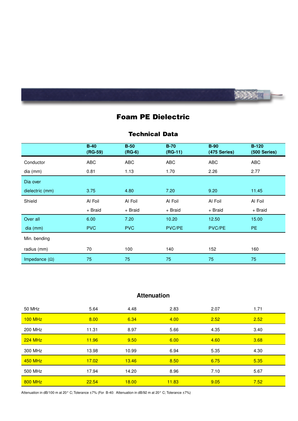

# Foam PE Dielectric

#### Technical Data

|                      | $B-40$<br>$(RG-59)$ | $B-50$<br>$(RG-6)$ | $B-70$<br>$(RG-11)$ | <b>B-90</b><br>(475 Series) | $B-120$<br>(500 Series) |
|----------------------|---------------------|--------------------|---------------------|-----------------------------|-------------------------|
| Conductor            | <b>ABC</b>          | ABC                | ABC                 | ABC                         | <b>ABC</b>              |
| dia (mm)             | 0.81                | 1.13               | 1.70                | 2.26                        | 2.77                    |
| Dia over             |                     |                    |                     |                             |                         |
| dielectric (mm)      | 3.75                | 4.80               | 7.20                | 9.20                        | 11.45                   |
| Shield               | Al Foil             | Al Foil            | Al Foil             | Al Foil                     | Al Foil                 |
|                      | + Braid             | + Braid            | + Braid             | + Braid                     | + Braid                 |
| Over all             | 6.00                | 7.20               | 10.20               | 12.50                       | 15.00                   |
| $dia$ (mm)           | <b>PVC</b>          | <b>PVC</b>         | PVC/PE              | PVC/PE                      | <b>PE</b>               |
| Min. bending         |                     |                    |                     |                             |                         |
| radius (mm)          | 70                  | 100                | 140                 | 152                         | 160                     |
| Impedance $(\Omega)$ | 75                  | 75                 | 75                  | 75                          | 75                      |

## **Attenuation**

| 50 MHz         | 5.64  | 4.48  | 2.83  | 2.07 | 1.71 |
|----------------|-------|-------|-------|------|------|
| $100$ MHz      | 8.00  | 6.34  | 4.00  | 2.52 | 2.52 |
| 200 MHz        | 11.31 | 8.97  | 5.66  | 4.35 | 3.40 |
| $224$ MHz      | 11.96 | 9.50  | 6.00  | 4.60 | 3.68 |
| 300 MHz        | 13.98 | 10.99 | 6.94  | 5.35 | 4.30 |
| <b>450 MHz</b> | 17.02 | 13.46 | 8.50  | 6.75 | 5.35 |
| 500 MHz        | 17.94 | 14.20 | 8.96  | 7.10 | 5.67 |
| <b>800 MHz</b> | 22.54 | 18.00 | 11.83 | 9.05 | 7.52 |

Attenuation in dB/100 m at 20° C; Tolerance ±7% (For B-40: Attenuation in dB/92 m at 20° C; Tolerance ±7%)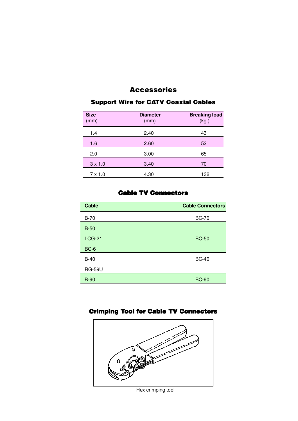## Accessories

| <b>Size</b><br>(mm) | <b>Diameter</b><br>(mm) | <b>Breaking load</b><br>(kg.) |
|---------------------|-------------------------|-------------------------------|
| 1.4                 | 2.40                    | 43                            |
| 1.6                 | 2.60                    | 52                            |
| 2.0                 | 3.00                    | 65                            |
| $3 \times 1.0$      | 3.40                    | 70                            |
| $7 \times 1.0$      | 4.30                    | 132                           |

### Support Wire for CATV Coaxial Cables

### Cable TV Connectors

| <b>Cable</b>  | <b>Cable Connectors</b> |
|---------------|-------------------------|
| $B-70$        | <b>BC-70</b>            |
| $B-50$        |                         |
| <b>LCG-21</b> | <b>BC-50</b>            |
| $BC-6$        |                         |
| $B-40$        | <b>BC-40</b>            |
| <b>RG-59U</b> |                         |
| <b>B-90</b>   | <b>BC-90</b>            |

## Crimping Tool for Cable TV Connectors



Hex crimping tool